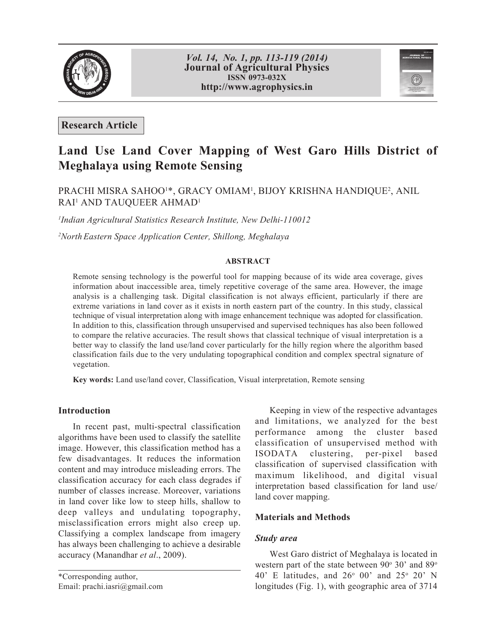



**Research Article**

# **Land Use Land Cover Mapping of West Garo Hills District of Meghalaya using Remote Sensing**

## PRACHI MISRA SAHOO<sup>1</sup>\*, GRACY OMIAM<sup>1</sup>, BIJOY KRISHNA HANDIQUE<sup>2</sup>, ANIL RAI<sup>1</sup> AND TAUQUEER AHMAD<sup>1</sup>

*1 Indian Agricultural Statistics Research Institute, New Delhi-110012*

*2 North Eastern Space Application Center, Shillong, Meghalaya*

#### **ABSTRACT**

Remote sensing technology is the powerful tool for mapping because of its wide area coverage, gives information about inaccessible area, timely repetitive coverage of the same area. However, the image analysis is a challenging task. Digital classification is not always efficient, particularly if there are extreme variations in land cover as it exists in north eastern part of the country. In this study, classical technique of visual interpretation along with image enhancement technique was adopted for classification. In addition to this, classification through unsupervised and supervised techniques has also been followed to compare the relative accuracies. The result shows that classical technique of visual interpretation is a better way to classify the land use/land cover particularly for the hilly region where the algorithm based classification fails due to the very undulating topographical condition and complex spectral signature of vegetation.

**Key words:** Land use/land cover, Classification, Visual interpretation, Remote sensing

## **Introduction**

In recent past, multi-spectral classification algorithms have been used to classify the satellite image. However, this classification method has a few disadvantages. It reduces the information content and may introduce misleading errors. The classification accuracy for each class degrades if number of classes increase. Moreover, variations in land cover like low to steep hills, shallow to deep valleys and undulating topography, misclassification errors might also creep up. Classifying a complex landscape from imagery has always been challenging to achieve a desirable accuracy (Manandhar *et al*., 2009).

\*Corresponding author, Email: prachi.iasri@gmail.com

Keeping in view of the respective advantages and limitations, we analyzed for the best performance among the cluster based classification of unsupervised method with ISODATA clustering, per-pixel based classification of supervised classification with maximum likelihood, and digital visual interpretation based classification for land use/ land cover mapping.

## **Materials and Methods**

## *Study area*

West Garo district of Meghalaya is located in western part of the state between  $90^{\circ}$  30' and  $89^{\circ}$ 40' E latitudes, and  $26^{\circ}$  00' and  $25^{\circ}$  20' N longitudes (Fig. 1), with geographic area of 3714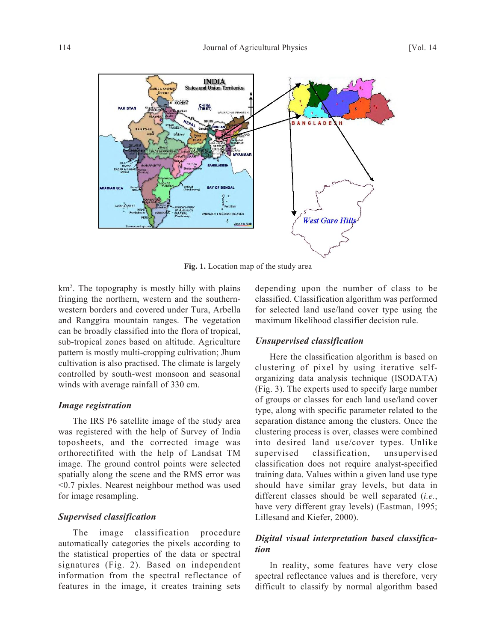

**Fig. 1.** Location map of the study area

km2 . The topography is mostly hilly with plains fringing the northern, western and the southernwestern borders and covered under Tura, Arbella and Ranggira mountain ranges. The vegetation can be broadly classified into the flora of tropical, sub-tropical zones based on altitude. Agriculture pattern is mostly multi-cropping cultivation; Jhum cultivation is also practised. The climate is largely controlled by south-west monsoon and seasonal winds with average rainfall of 330 cm.

## *Image registration*

The IRS P6 satellite image of the study area was registered with the help of Survey of India toposheets, and the corrected image was orthorectifited with the help of Landsat TM image. The ground control points were selected spatially along the scene and the RMS error was <0.7 pixles. Nearest neighbour method was used for image resampling.

## *Supervised classification*

The image classification procedure automatically categories the pixels according to the statistical properties of the data or spectral signatures (Fig. 2). Based on independent information from the spectral reflectance of features in the image, it creates training sets

depending upon the number of class to be classified. Classification algorithm was performed for selected land use/land cover type using the maximum likelihood classifier decision rule.

#### *Unsupervised classification*

Here the classification algorithm is based on clustering of pixel by using iterative selforganizing data analysis technique (ISODATA) (Fig. 3). The experts used to specify large number of groups or classes for each land use/land cover type, along with specific parameter related to the separation distance among the clusters. Once the clustering process is over, classes were combined into desired land use/cover types. Unlike supervised classification, unsupervised classification does not require analyst-specified training data. Values within a given land use type should have similar gray levels, but data in different classes should be well separated (*i.e.*, have very different gray levels) (Eastman, 1995; Lillesand and Kiefer, 2000).

## *Digital visual interpretation based classification*

In reality, some features have very close spectral reflectance values and is therefore, very difficult to classify by normal algorithm based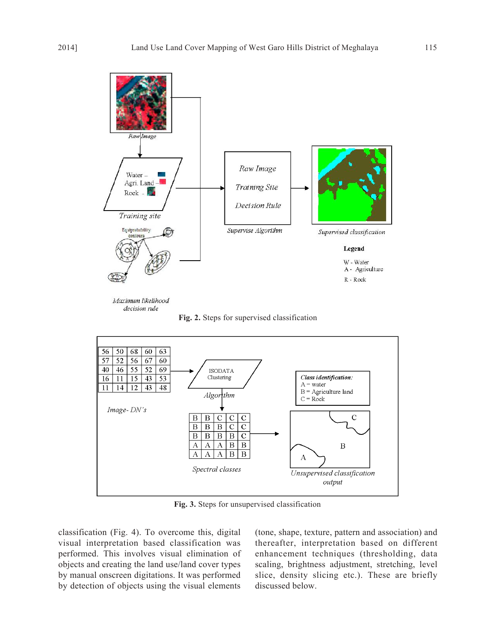

Maximum likelihood decision rule

**Fig. 2.** Steps for supervised classification



**Fig. 3.** Steps for unsupervised classification

classification (Fig. 4). To overcome this, digital visual interpretation based classification was performed. This involves visual elimination of objects and creating the land use/land cover types by manual onscreen digitations. It was performed by detection of objects using the visual elements

(tone, shape, texture, pattern and association) and thereafter, interpretation based on different enhancement techniques (thresholding, data scaling, brightness adjustment, stretching, level slice, density slicing etc.). These are briefly discussed below.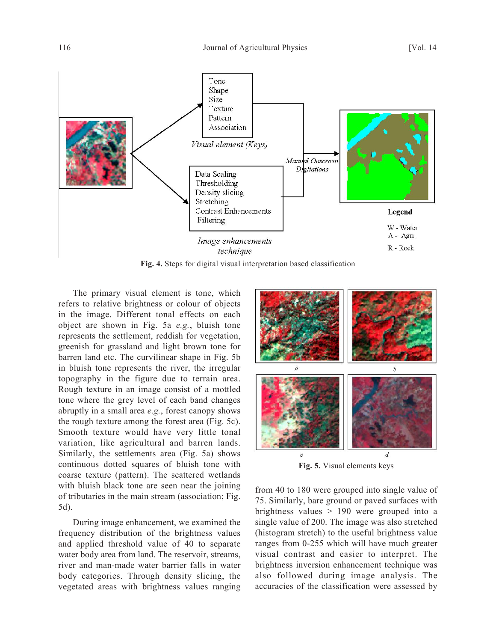

**Fig. 4.** Steps for digital visual interpretation based classification

The primary visual element is tone, which refers to relative brightness or colour of objects in the image. Different tonal effects on each object are shown in Fig. 5a *e.g.*, bluish tone represents the settlement, reddish for vegetation, greenish for grassland and light brown tone for barren land etc. The curvilinear shape in Fig. 5b in bluish tone represents the river, the irregular topography in the figure due to terrain area. Rough texture in an image consist of a mottled tone where the grey level of each band changes abruptly in a small area *e.g.*, forest canopy shows the rough texture among the forest area (Fig. 5c). Smooth texture would have very little tonal variation, like agricultural and barren lands. Similarly, the settlements area (Fig. 5a) shows continuous dotted squares of bluish tone with coarse texture (pattern). The scattered wetlands with bluish black tone are seen near the joining of tributaries in the main stream (association; Fig. 5d).

During image enhancement, we examined the frequency distribution of the brightness values and applied threshold value of 40 to separate water body area from land. The reservoir, streams, river and man-made water barrier falls in water body categories. Through density slicing, the vegetated areas with brightness values ranging



**Fig. 5.** Visual elements keys

from 40 to 180 were grouped into single value of 75. Similarly, bare ground or paved surfaces with brightness values > 190 were grouped into a single value of 200. The image was also stretched (histogram stretch) to the useful brightness value ranges from 0-255 which will have much greater visual contrast and easier to interpret. The brightness inversion enhancement technique was also followed during image analysis. The accuracies of the classification were assessed by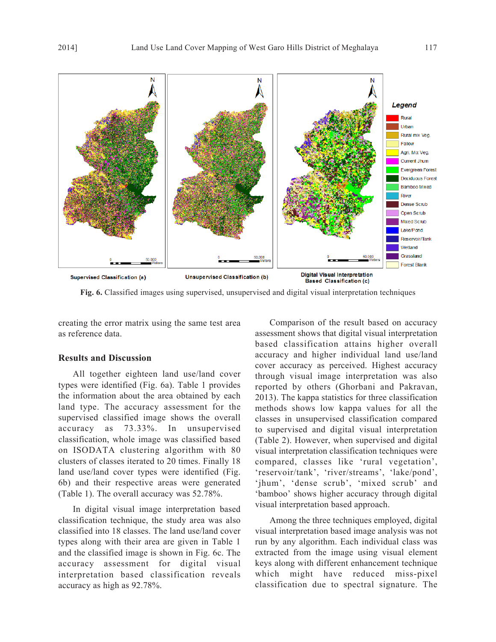

**Fig. 6.** Classified images using supervised, unsupervised and digital visual interpretation techniques

creating the error matrix using the same test area as reference data.

#### **Results and Discussion**

All together eighteen land use/land cover types were identified (Fig. 6a). Table 1 provides the information about the area obtained by each land type. The accuracy assessment for the supervised classified image shows the overall accuracy as 73.33%. In unsupervised classification, whole image was classified based on ISODATA clustering algorithm with 80 clusters of classes iterated to 20 times. Finally 18 land use/land cover types were identified (Fig. 6b) and their respective areas were generated (Table 1). The overall accuracy was 52.78%.

In digital visual image interpretation based classification technique, the study area was also classified into 18 classes. The land use/land cover types along with their area are given in Table 1 and the classified image is shown in Fig. 6c. The accuracy assessment for digital visual interpretation based classification reveals accuracy as high as 92.78%.

Comparison of the result based on accuracy assessment shows that digital visual interpretation based classification attains higher overall accuracy and higher individual land use/land cover accuracy as perceived. Highest accuracy through visual image interpretation was also reported by others (Ghorbani and Pakravan, 2013). The kappa statistics for three classification methods shows low kappa values for all the classes in unsupervised classification compared to supervised and digital visual interpretation (Table 2). However, when supervised and digital visual interpretation classification techniques were compared, classes like 'rural vegetation', 'reservoir/tank', 'river/streams', 'lake/pond', 'jhum', 'dense scrub', 'mixed scrub' and 'bamboo' shows higher accuracy through digital visual interpretation based approach.

Among the three techniques employed, digital visual interpretation based image analysis was not run by any algorithm. Each individual class was extracted from the image using visual element keys along with different enhancement technique which might have reduced miss-pixel classification due to spectral signature. The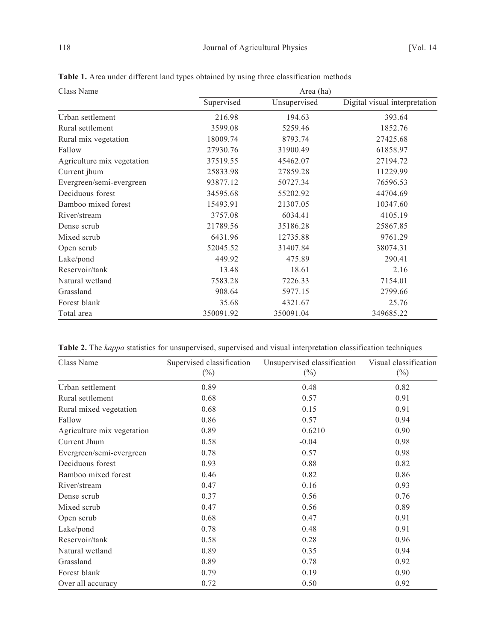| Class Name                 | Area (ha)  |              |                               |  |
|----------------------------|------------|--------------|-------------------------------|--|
|                            | Supervised | Unsupervised | Digital visual interpretation |  |
| Urban settlement           | 216.98     | 194.63       | 393.64                        |  |
| Rural settlement           | 3599.08    | 5259.46      | 1852.76                       |  |
| Rural mix vegetation       | 18009.74   | 8793.74      | 27425.68                      |  |
| Fallow                     | 27930.76   | 31900.49     | 61858.97                      |  |
| Agriculture mix vegetation | 37519.55   | 45462.07     | 27194.72                      |  |
| Current jhum               | 25833.98   | 27859.28     | 11229.99                      |  |
| Evergreen/semi-evergreen   | 93877.12   | 50727.34     | 76596.53                      |  |
| Deciduous forest           | 34595.68   | 55202.92     | 44704.69                      |  |
| Bamboo mixed forest        | 15493.91   | 21307.05     | 10347.60                      |  |
| River/stream               | 3757.08    | 6034.41      | 4105.19                       |  |
| Dense scrub                | 21789.56   | 35186.28     | 25867.85                      |  |
| Mixed scrub                | 6431.96    | 12735.88     | 9761.29                       |  |
| Open scrub                 | 52045.52   | 31407.84     | 38074.31                      |  |
| Lake/pond                  | 449.92     | 475.89       | 290.41                        |  |
| Reservoir/tank             | 13.48      | 18.61        | 2.16                          |  |
| Natural wetland            | 7583.28    | 7226.33      | 7154.01                       |  |
| Grassland                  | 908.64     | 5977.15      | 2799.66                       |  |
| Forest blank               | 35.68      | 4321.67      | 25.76                         |  |
| Total area                 | 350091.92  | 350091.04    | 349685.22                     |  |

**Table 1.** Area under different land types obtained by using three classification methods

**Table 2.** The *kappa* statistics for unsupervised, supervised and visual interpretation classification techniques

| Class Name                 | Supervised classification<br>$(\%)$ | Unsupervised classification<br>$(\%)$ | Visual classification<br>$(\%)$ |
|----------------------------|-------------------------------------|---------------------------------------|---------------------------------|
| Urban settlement           | 0.89                                | 0.48                                  | 0.82                            |
| Rural settlement           | 0.68                                | 0.57                                  | 0.91                            |
| Rural mixed vegetation     | 0.68                                | 0.15                                  | 0.91                            |
| Fallow                     | 0.86                                | 0.57                                  | 0.94                            |
| Agriculture mix vegetation | 0.89                                | 0.6210                                | 0.90                            |
| Current Jhum               | 0.58                                | $-0.04$                               | 0.98                            |
| Evergreen/semi-evergreen   | 0.78                                | 0.57                                  | 0.98                            |
| Deciduous forest           | 0.93                                | 0.88                                  | 0.82                            |
| Bamboo mixed forest        | 0.46                                | 0.82                                  | 0.86                            |
| River/stream               | 0.47                                | 0.16                                  | 0.93                            |
| Dense scrub                | 0.37                                | 0.56                                  | 0.76                            |
| Mixed scrub                | 0.47                                | 0.56                                  | 0.89                            |
| Open scrub                 | 0.68                                | 0.47                                  | 0.91                            |
| Lake/pond                  | 0.78                                | 0.48                                  | 0.91                            |
| Reservoir/tank             | 0.58                                | 0.28                                  | 0.96                            |
| Natural wetland            | 0.89                                | 0.35                                  | 0.94                            |
| Grassland                  | 0.89                                | 0.78                                  | 0.92                            |
| Forest blank               | 0.79                                | 0.19                                  | 0.90                            |
| Over all accuracy          | 0.72                                | 0.50                                  | 0.92                            |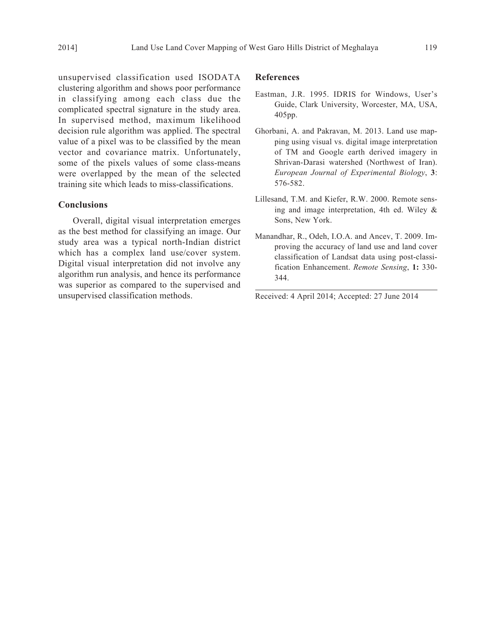unsupervised classification used ISODATA clustering algorithm and shows poor performance in classifying among each class due the complicated spectral signature in the study area. In supervised method, maximum likelihood decision rule algorithm was applied. The spectral value of a pixel was to be classified by the mean vector and covariance matrix. Unfortunately, some of the pixels values of some class-means were overlapped by the mean of the selected training site which leads to miss-classifications.

#### **Conclusions**

Overall, digital visual interpretation emerges as the best method for classifying an image. Our study area was a typical north-Indian district which has a complex land use/cover system. Digital visual interpretation did not involve any algorithm run analysis, and hence its performance was superior as compared to the supervised and unsupervised classification methods.

#### **References**

- Eastman, J.R. 1995. IDRIS for Windows, User's Guide, Clark University, Worcester, MA, USA, 405pp.
- Ghorbani, A. and Pakravan, M. 2013. Land use mapping using visual vs. digital image interpretation of TM and Google earth derived imagery in Shrivan-Darasi watershed (Northwest of Iran). *European Journal of Experimental Biology*, **3**: 576-582.
- Lillesand, T.M. and Kiefer, R.W. 2000. Remote sensing and image interpretation, 4th ed. Wiley & Sons, New York.
- Manandhar, R., Odeh, I.O.A. and Ancev, T. 2009. Improving the accuracy of land use and land cover classification of Landsat data using post-classification Enhancement. *Remote Sensing*, **1:** 330- 344.

Received: 4 April 2014; Accepted: 27 June 2014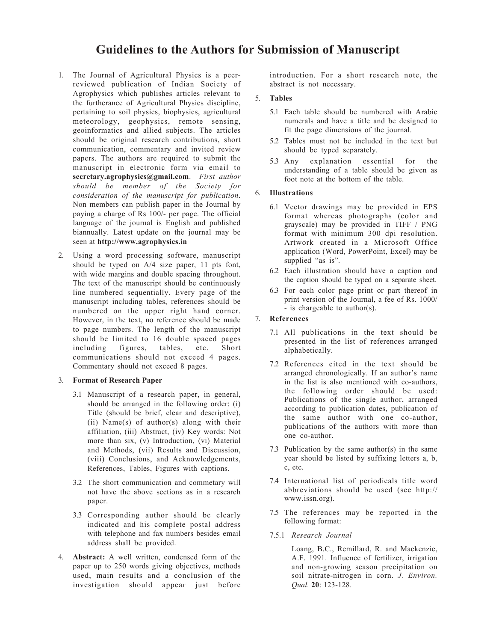## **Guidelines to the Authors for Submission of Manuscript**

- 1. The Journal of Agricultural Physics is a peerreviewed publication of Indian Society of Agrophysics which publishes articles relevant to the furtherance of Agricultural Physics discipline, pertaining to soil physics, biophysics, agricultural meteorology, geophysics, remote sensing, geoinformatics and allied subjects. The articles should be original research contributions, short communication, commentary and invited review papers. The authors are required to submit the manuscript in electronic form via email to **secretary.agrophysics@gmail.com**. *First author should be member of the Society for consideration of the manuscript for publication*. Non members can publish paper in the Journal by paying a charge of Rs 100/- per page. The official language of the journal is English and published biannually. Latest update on the journal may be seen at **http://www.agrophysics.in**
- 2. Using a word processing software, manuscript should be typed on A/4 size paper, 11 pts font, with wide margins and double spacing throughout. The text of the manuscript should be continuously line numbered sequentially. Every page of the manuscript including tables, references should be numbered on the upper right hand corner. However, in the text, no reference should be made to page numbers. The length of the manuscript should be limited to 16 double spaced pages including figures, tables, etc. Short communications should not exceed 4 pages. Commentary should not exceed 8 pages.

#### 3. **Format of Research Paper**

- 3.1 Manuscript of a research paper, in general, should be arranged in the following order: (i) Title (should be brief, clear and descriptive), (ii) Name(s) of author(s) along with their affiliation, (iii) Abstract, (iv) Key words: Not more than six, (v) Introduction, (vi) Material and Methods, (vii) Results and Discussion, (viii) Conclusions, and Acknowledgements, References, Tables, Figures with captions.
- 3.2 The short communication and commetary will not have the above sections as in a research paper.
- 3.3 Corresponding author should be clearly indicated and his complete postal address with telephone and fax numbers besides email address shall be provided.
- 4. **Abstract:** A well written, condensed form of the paper up to 250 words giving objectives, methods used, main results and a conclusion of the investigation should appear just before

introduction. For a short research note, the abstract is not necessary.

## 5. **Tables**

- 5.1 Each table should be numbered with Arabic numerals and have a title and be designed to fit the page dimensions of the journal.
- 5.2 Tables must not be included in the text but should be typed separately.
- 5.3 Any explanation essential for the understanding of a table should be given as foot note at the bottom of the table.

#### 6. **Illustrations**

- 6.1 Vector drawings may be provided in EPS format whereas photographs (color and grayscale) may be provided in TIFF / PNG format with minimum 300 dpi resolution. Artwork created in a Microsoft Office application (Word, PowerPoint, Excel) may be supplied "as is".
- 6.2 Each illustration should have a caption and the caption should be typed on a separate sheet.
- 6.3 For each color page print or part thereof in print version of the Journal, a fee of Rs. 1000/ - is chargeable to author(s).

#### 7. **References**

- 7.1 All publications in the text should be presented in the list of references arranged alphabetically.
- 7.2 References cited in the text should be arranged chronologically. If an author's name in the list is also mentioned with co-authors, the following order should be used: Publications of the single author, arranged according to publication dates, publication of the same author with one co-author, publications of the authors with more than one co-author.
- 7.3 Publication by the same author(s) in the same year should be listed by suffixing letters a, b, c, etc.
- 7.4 International list of periodicals title word abbreviations should be used (see http:// www.issn.org).
- 7.5 The references may be reported in the following format:
- 7.5.1 *Research Journal*

Loang, B.C., Remillard, R. and Mackenzie, A.F. 1991. Influence of fertilizer, irrigation and non-growing season precipitation on soil nitrate-nitrogen in corn. *J. Environ. Qual.* **20**: 123-128.